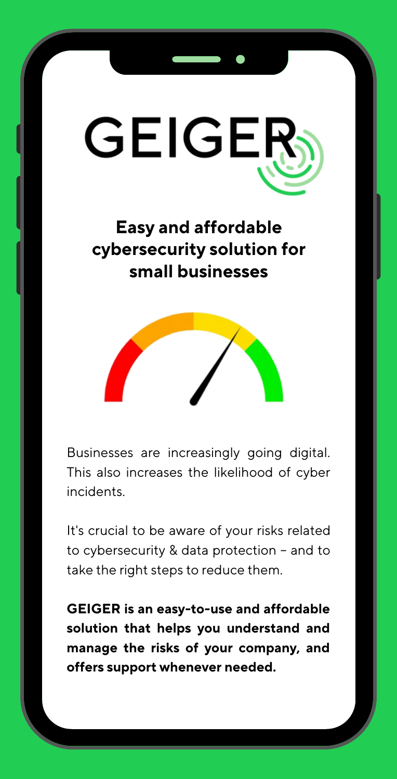

**Easy and affordable cybersecurity solution for small businesses**



Businesses are increasingly going digital. This also increases the likelihood of cyber incidents.

It's crucial to be aware of your risks related to cybersecurity & data protection – and to take the right steps to reduce them.

**GEIGER is an easy-to-use and affordable solution that helps you understand and manage the risks of your company, and offers support whenever needed.**